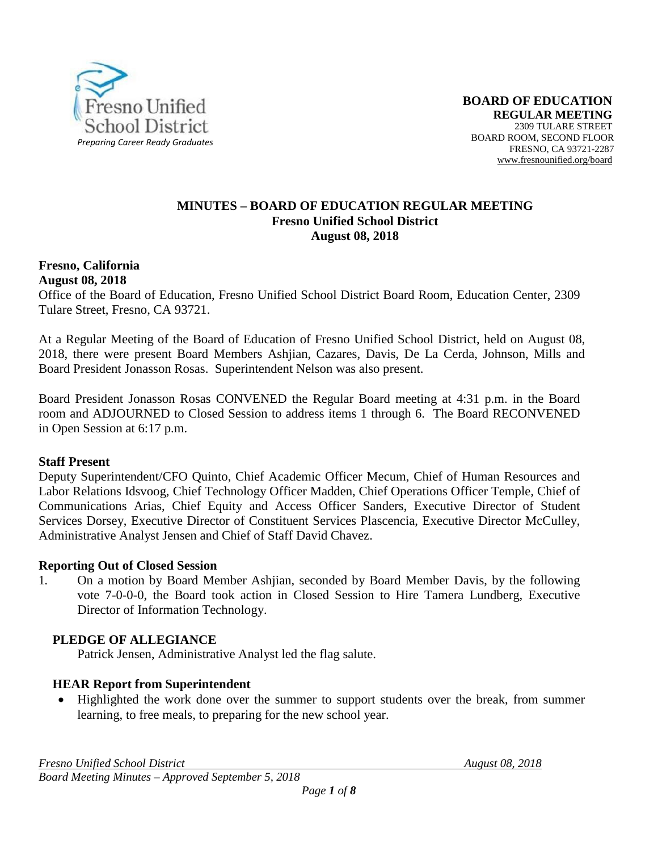

#### **MINUTES – BOARD OF EDUCATION REGULAR MEETING Fresno Unified School District August 08, 2018**

#### **Fresno, California August 08, 2018**

Office of the Board of Education, Fresno Unified School District Board Room, Education Center, 2309 Tulare Street, Fresno, CA 93721.

At a Regular Meeting of the Board of Education of Fresno Unified School District, held on August 08, 2018, there were present Board Members Ashjian, Cazares, Davis, De La Cerda, Johnson, Mills and Board President Jonasson Rosas. Superintendent Nelson was also present.

Board President Jonasson Rosas CONVENED the Regular Board meeting at 4:31 p.m. in the Board room and ADJOURNED to Closed Session to address items 1 through 6. The Board RECONVENED in Open Session at 6:17 p.m.

### **Staff Present**

Deputy Superintendent/CFO Quinto, Chief Academic Officer Mecum, Chief of Human Resources and Labor Relations Idsvoog, Chief Technology Officer Madden, Chief Operations Officer Temple*,* Chief of Communications Arias, Chief Equity and Access Officer Sanders, Executive Director of Student Services Dorsey, Executive Director of Constituent Services Plascencia, Executive Director McCulley, Administrative Analyst Jensen and Chief of Staff David Chavez.

# **Reporting Out of Closed Session**

1. On a motion by Board Member Ashjian, seconded by Board Member Davis, by the following vote 7-0-0-0, the Board took action in Closed Session to Hire Tamera Lundberg, Executive Director of Information Technology.

# **PLEDGE OF ALLEGIANCE**

Patrick Jensen, Administrative Analyst led the flag salute.

# **HEAR Report from Superintendent**

• Highlighted the work done over the summer to support students over the break, from summer learning, to free meals, to preparing for the new school year.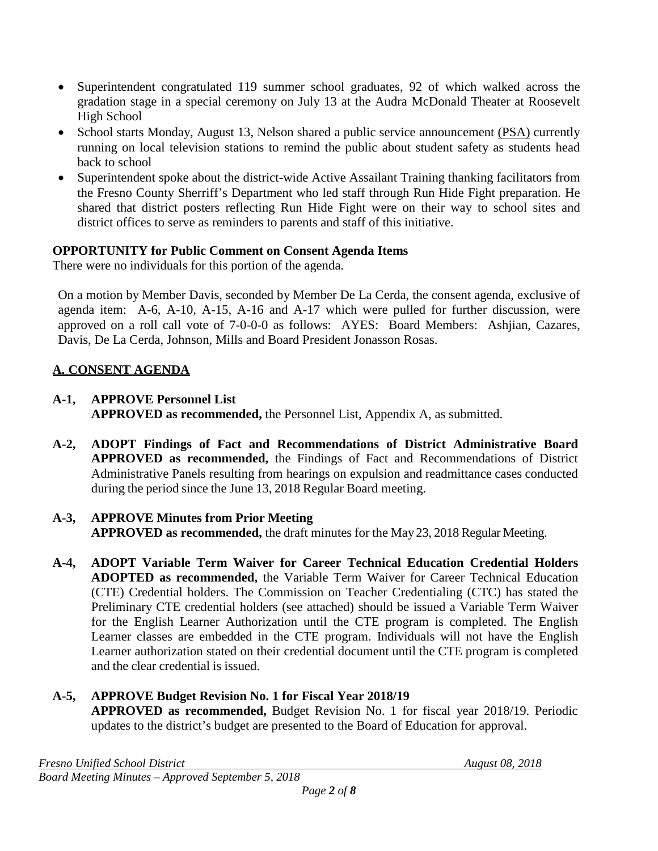- Superintendent congratulated 119 summer school graduates, 92 of which walked across the gradation stage in a special ceremony on July 13 at the Audra McDonald Theater at Roosevelt High School
- School starts Monday, August 13, Nelson shared a public service announcement [\(PSA\)](https://na01.safelinks.protection.outlook.com/?url=https%3A%2F%2Fvimeo.com%2F281692717&data=02%7C01%7C%7Cbfe588fcd6524983d15708d5fd9d7519%7C74c9008303c6453a801c9251cdd17eb8%7C0%7C0%7C636693775165800843&sdata=4vXJaf%2FcF1G5ivUPq%2Fcu19%2FsYRNLd7ImIIU3Ja9qTVk%3D&reserved=0) currently running on local television stations to remind the public about student safety as students head back to school
- Superintendent spoke about the district-wide Active Assailant Training thanking facilitators from the Fresno County Sherriff's Department who led staff through Run Hide Fight preparation. He shared that district posters reflecting Run Hide Fight were on their way to school sites and district offices to serve as reminders to parents and staff of this initiative.

# **OPPORTUNITY for Public Comment on Consent Agenda Items**

There were no individuals for this portion of the agenda.

On a motion by Member Davis, seconded by Member De La Cerda, the consent agenda, exclusive of agenda item: A-6, A-10, A-15, A-16 and A-17 which were pulled for further discussion, were approved on a roll call vote of 7-0-0-0 as follows: AYES: Board Members: Ashjian, Cazares, Davis, De La Cerda, Johnson, Mills and Board President Jonasson Rosas.

# **A. CONSENT AGENDA**

# **A-1, APPROVE Personnel List**

**APPROVED as recommended,** the Personnel List, Appendix A, as submitted.

**A-2, ADOPT Findings of Fact and Recommendations of District Administrative Board APPROVED as recommended,** the Findings of Fact and Recommendations of District Administrative Panels resulting from hearings on expulsion and readmittance cases conducted during the period since the June 13, 2018 Regular Board meeting.

# **A-3, APPROVE Minutes from Prior Meeting**

**APPROVED as recommended,** the draft minutes for the May 23, 2018 Regular Meeting.

**A-4, ADOPT Variable Term Waiver for Career Technical Education Credential Holders ADOPTED as recommended,** the Variable Term Waiver for Career Technical Education (CTE) Credential holders. The Commission on Teacher Credentialing (CTC) has stated the Preliminary CTE credential holders (see attached) should be issued a Variable Term Waiver for the English Learner Authorization until the CTE program is completed. The English Learner classes are embedded in the CTE program. Individuals will not have the English Learner authorization stated on their credential document until the CTE program is completed and the clear credential is issued.

# **A-5, APPROVE Budget Revision No. 1 for Fiscal Year 2018/19 APPROVED as recommended,** Budget Revision No. 1 for fiscal year 2018/19. Periodic updates to the district's budget are presented to the Board of Education for approval.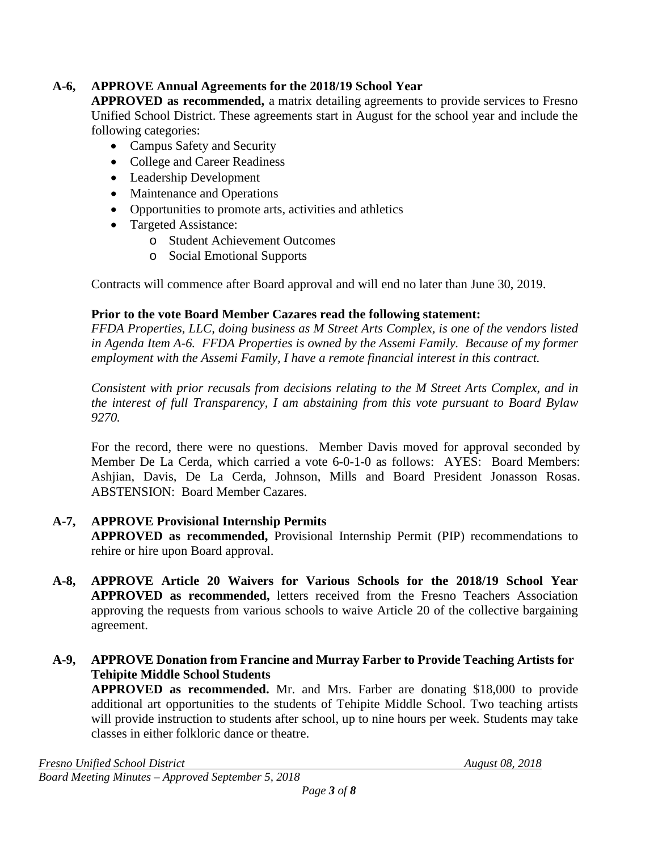# **A-6, APPROVE Annual Agreements for the 2018/19 School Year**

**APPROVED as recommended,** a matrix detailing agreements to provide services to Fresno Unified School District. These agreements start in August for the school year and include the following categories:

- Campus Safety and Security
- College and Career Readiness
- Leadership Development
- Maintenance and Operations
- Opportunities to promote arts, activities and athletics
- Targeted Assistance:
	- o Student Achievement Outcomes
	- o Social Emotional Supports

Contracts will commence after Board approval and will end no later than June 30, 2019.

# **Prior to the vote Board Member Cazares read the following statement:**

*FFDA Properties, LLC, doing business as M Street Arts Complex, is one of the vendors listed in Agenda Item A-6. FFDA Properties is owned by the Assemi Family. Because of my former employment with the Assemi Family, I have a remote financial interest in this contract.* 

*Consistent with prior recusals from decisions relating to the M Street Arts Complex, and in the interest of full Transparency, I am abstaining from this vote pursuant to Board Bylaw 9270.*

For the record, there were no questions. Member Davis moved for approval seconded by Member De La Cerda, which carried a vote 6-0-1-0 as follows: AYES: Board Members: Ashjian, Davis, De La Cerda, Johnson, Mills and Board President Jonasson Rosas. ABSTENSION: Board Member Cazares.

# **A-7, APPROVE Provisional Internship Permits**

**APPROVED as recommended,** Provisional Internship Permit (PIP) recommendations to rehire or hire upon Board approval.

- **A-8, APPROVE Article 20 Waivers for Various Schools for the 2018/19 School Year APPROVED as recommended,** letters received from the Fresno Teachers Association approving the requests from various schools to waive Article 20 of the collective bargaining agreement.
- **A-9, APPROVE Donation from Francine and Murray Farber to Provide Teaching Artists for Tehipite Middle School Students**

**APPROVED as recommended.** Mr. and Mrs. Farber are donating \$18,000 to provide additional art opportunities to the students of Tehipite Middle School. Two teaching artists will provide instruction to students after school, up to nine hours per week. Students may take classes in either folkloric dance or theatre.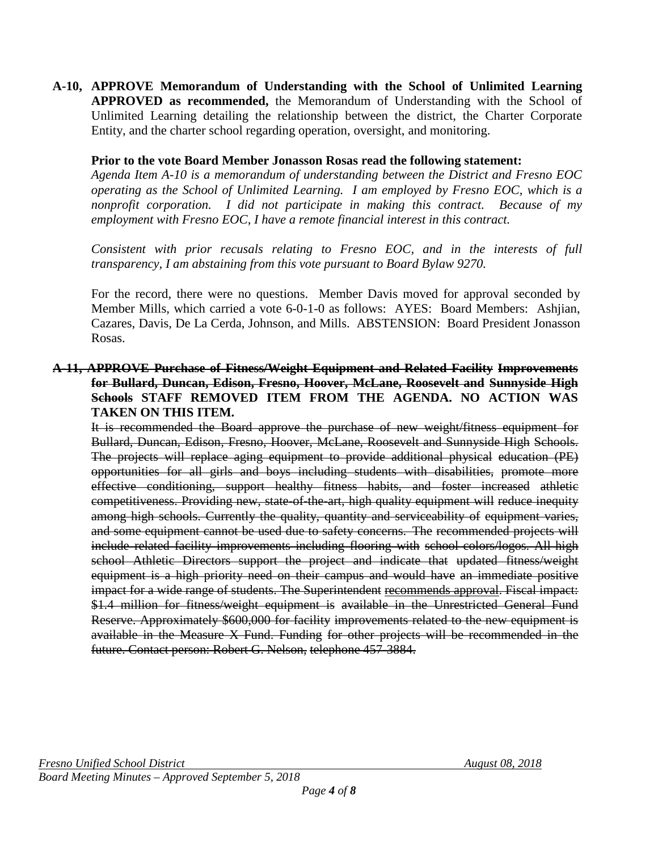**A-10, APPROVE Memorandum of Understanding with the School of Unlimited Learning APPROVED as recommended,** the Memorandum of Understanding with the School of Unlimited Learning detailing the relationship between the district, the Charter Corporate Entity, and the charter school regarding operation, oversight, and monitoring.

#### **Prior to the vote Board Member Jonasson Rosas read the following statement:**

*Agenda Item A-10 is a memorandum of understanding between the District and Fresno EOC operating as the School of Unlimited Learning. I am employed by Fresno EOC, which is a nonprofit corporation. I did not participate in making this contract. Because of my employment with Fresno EOC, I have a remote financial interest in this contract.*

*Consistent with prior recusals relating to Fresno EOC, and in the interests of full transparency, I am abstaining from this vote pursuant to Board Bylaw 9270.*

For the record, there were no questions. Member Davis moved for approval seconded by Member Mills, which carried a vote 6-0-1-0 as follows: AYES: Board Members: Ashjian, Cazares, Davis, De La Cerda, Johnson, and Mills. ABSTENSION: Board President Jonasson Rosas.

#### **A-11, APPROVE Purchase of Fitness/Weight Equipment and Related Facility Improvements for Bullard, Duncan, Edison, Fresno, Hoover, McLane, Roosevelt and Sunnyside High Schools STAFF REMOVED ITEM FROM THE AGENDA. NO ACTION WAS TAKEN ON THIS ITEM.**

It is recommended the Board approve the purchase of new weight/fitness equipment for Bullard, Duncan, Edison, Fresno, Hoover, McLane, Roosevelt and Sunnyside High Schools. The projects will replace aging equipment to provide additional physical education (PE) opportunities for all girls and boys including students with disabilities, promote more effective conditioning, support healthy fitness habits, and foster increased athletic competitiveness. Providing new, state of the art, high quality equipment will reduce inequity among high schools. Currently the quality, quantity and serviceability of equipment varies, and some equipment cannot be used due to safety concerns. The recommended projects will include related facility improvements including flooring with school colors/logos. All high school Athletic Directors support the project and indicate that updated fitness/weight equipment is a high priority need on their campus and would have an immediate positive impact for a wide range of students. The Superintendent recommends approval. Fiscal impact: \$1.4 million for fitness/weight equipment is available in the Unrestricted General Fund Reserve. Approximately \$600,000 for facility improvements related to the new equipment is available in the Measure X Fund. Funding for other projects will be recommended in the future. Contact person: Robert G. Nelson, telephone 457-3884.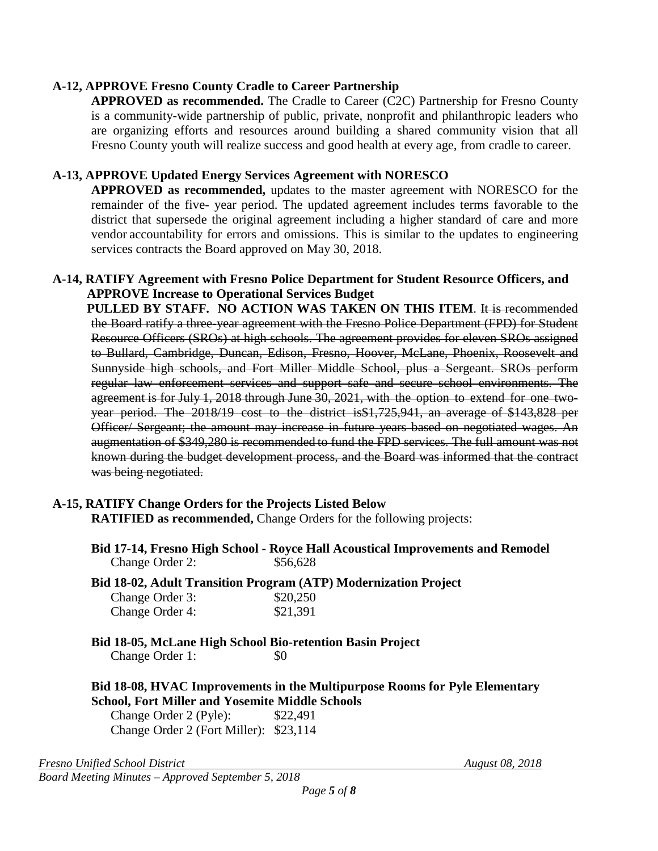### **A-12, APPROVE Fresno County Cradle to Career Partnership**

**APPROVED as recommended.** The Cradle to Career (C2C) Partnership for Fresno County is a community-wide partnership of public, private, nonprofit and philanthropic leaders who are organizing efforts and resources around building a shared community vision that all Fresno County youth will realize success and good health at every age, from cradle to career.

### **A-13, APPROVE Updated Energy Services Agreement with NORESCO**

**APPROVED as recommended,** updates to the master agreement with NORESCO for the remainder of the five- year period. The updated agreement includes terms favorable to the district that supersede the original agreement including a higher standard of care and more vendor accountability for errors and omissions. This is similar to the updates to engineering services contracts the Board approved on May 30, 2018.

#### **A-14, RATIFY Agreement with Fresno Police Department for Student Resource Officers, and APPROVE Increase to Operational Services Budget**

PULLED BY STAFF. NO ACTION WAS TAKEN ON THIS ITEM. It is recommended the Board ratify a three-year agreement with the Fresno Police Department (FPD) for Student Resource Officers (SROs) at high schools. The agreement provides for eleven SROs assigned to Bullard, Cambridge, Duncan, Edison, Fresno, Hoover, McLane, Phoenix, Roosevelt and Sunnyside high schools, and Fort Miller Middle School, plus a Sergeant. SROs perform regular law enforcement services and support safe and secure school environments. The agreement is for July 1, 2018 through June 30, 2021, with the option to extend for one twoyear period. The 2018/19 cost to the district is\$1,725,941, an average of \$143,828 per Officer/ Sergeant; the amount may increase in future years based on negotiated wages. An augmentation of \$349,280 is recommended to fund the FPD services. The full amount was not known during the budget development process, and the Board was informed that the contract was being negotiated.

### **A-15, RATIFY Change Orders for the Projects Listed Below RATIFIED as recommended,** Change Orders for the following projects:

- **Bid 17-14, Fresno High School - Royce Hall Acoustical Improvements and Remodel** Change Order 2: \$56,628
- **Bid 18-02, Adult Transition Program (ATP) Modernization Project** Change Order 3: Change Order 4: \$20,250 \$21,391
- **Bid 18-05, McLane High School Bio-retention Basin Project** Change Order 1: \$0

**Bid 18-08, HVAC Improvements in the Multipurpose Rooms for Pyle Elementary School, Fort Miller and Yosemite Middle Schools**

Change Order 2 (Pyle): \$22,491 Change Order 2 (Fort Miller): \$23,114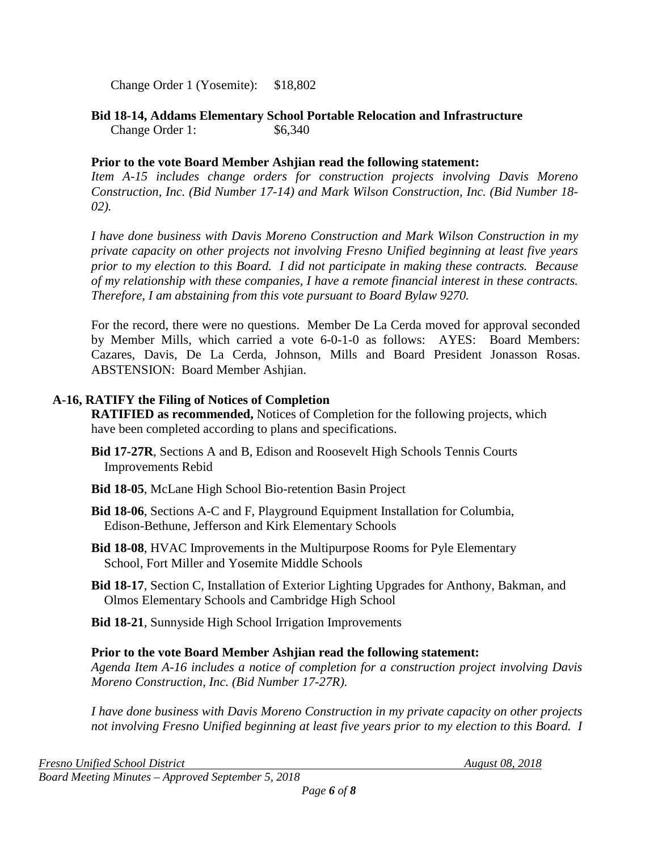Change Order 1 (Yosemite): \$18,802

**Bid 18-14, Addams Elementary School Portable Relocation and Infrastructure** Change Order 1: \$6,340

### **Prior to the vote Board Member Ashjian read the following statement:**

*Item A-15 includes change orders for construction projects involving Davis Moreno Construction, Inc. (Bid Number 17-14) and Mark Wilson Construction, Inc. (Bid Number 18- 02).* 

*I have done business with Davis Moreno Construction and Mark Wilson Construction in my private capacity on other projects not involving Fresno Unified beginning at least five years prior to my election to this Board. I did not participate in making these contracts. Because of my relationship with these companies, I have a remote financial interest in these contracts. Therefore, I am abstaining from this vote pursuant to Board Bylaw 9270.*

For the record, there were no questions. Member De La Cerda moved for approval seconded by Member Mills, which carried a vote 6-0-1-0 as follows: AYES: Board Members: Cazares, Davis, De La Cerda, Johnson, Mills and Board President Jonasson Rosas. ABSTENSION: Board Member Ashjian.

### **A-16, RATIFY the Filing of Notices of Completion**

**RATIFIED as recommended,** Notices of Completion for the following projects, which have been completed according to plans and specifications.

- **Bid 17-27R**, Sections A and B, Edison and Roosevelt High Schools Tennis Courts Improvements Rebid
- **Bid 18-05**, McLane High School Bio-retention Basin Project
- **Bid 18-06**, Sections A-C and F, Playground Equipment Installation for Columbia, Edison-Bethune, Jefferson and Kirk Elementary Schools
- **Bid 18-08**, HVAC Improvements in the Multipurpose Rooms for Pyle Elementary School, Fort Miller and Yosemite Middle Schools
- **Bid 18-17**, Section C, Installation of Exterior Lighting Upgrades for Anthony, Bakman, and Olmos Elementary Schools and Cambridge High School
- **Bid 18-21**, Sunnyside High School Irrigation Improvements

# **Prior to the vote Board Member Ashjian read the following statement:**

*Agenda Item A-16 includes a notice of completion for a construction project involving Davis Moreno Construction, Inc. (Bid Number 17-27R).*

*I have done business with Davis Moreno Construction in my private capacity on other projects not involving Fresno Unified beginning at least five years prior to my election to this Board. I*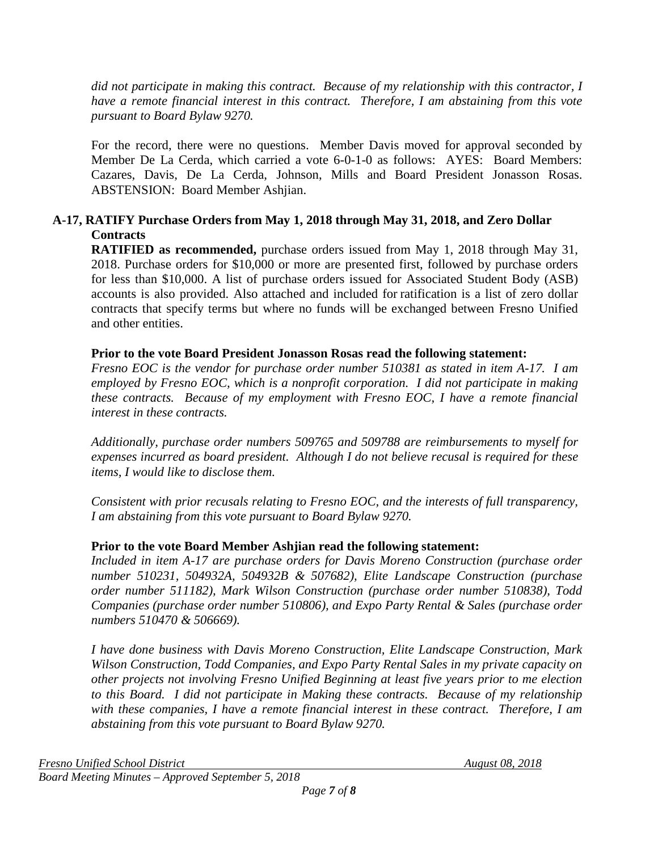*did not participate in making this contract. Because of my relationship with this contractor, I have a remote financial interest in this contract. Therefore, I am abstaining from this vote pursuant to Board Bylaw 9270.*

For the record, there were no questions. Member Davis moved for approval seconded by Member De La Cerda, which carried a vote 6-0-1-0 as follows: AYES: Board Members: Cazares, Davis, De La Cerda, Johnson, Mills and Board President Jonasson Rosas. ABSTENSION: Board Member Ashjian.

# **A-17, RATIFY Purchase Orders from May 1, 2018 through May 31, 2018, and Zero Dollar Contracts**

**RATIFIED as recommended,** purchase orders issued from May 1, 2018 through May 31, 2018. Purchase orders for \$10,000 or more are presented first, followed by purchase orders for less than \$10,000. A list of purchase orders issued for Associated Student Body (ASB) accounts is also provided. Also attached and included for ratification is a list of zero dollar contracts that specify terms but where no funds will be exchanged between Fresno Unified and other entities.

### **Prior to the vote Board President Jonasson Rosas read the following statement:**

*Fresno EOC is the vendor for purchase order number 510381 as stated in item A-17. I am employed by Fresno EOC, which is a nonprofit corporation. I did not participate in making these contracts. Because of my employment with Fresno EOC, I have a remote financial interest in these contracts.*

*Additionally, purchase order numbers 509765 and 509788 are reimbursements to myself for expenses incurred as board president. Although I do not believe recusal is required for these items, I would like to disclose them.* 

*Consistent with prior recusals relating to Fresno EOC, and the interests of full transparency, I am abstaining from this vote pursuant to Board Bylaw 9270.*

# **Prior to the vote Board Member Ashjian read the following statement:**

*Included in item A-17 are purchase orders for Davis Moreno Construction (purchase order number 510231, 504932A, 504932B & 507682), Elite Landscape Construction (purchase order number 511182), Mark Wilson Construction (purchase order number 510838), Todd Companies (purchase order number 510806), and Expo Party Rental & Sales (purchase order numbers 510470 & 506669).*

*I have done business with Davis Moreno Construction, Elite Landscape Construction, Mark Wilson Construction, Todd Companies, and Expo Party Rental Sales in my private capacity on other projects not involving Fresno Unified Beginning at least five years prior to me election to this Board. I did not participate in Making these contracts. Because of my relationship with these companies, I have a remote financial interest in these contract. Therefore, I am abstaining from this vote pursuant to Board Bylaw 9270.*